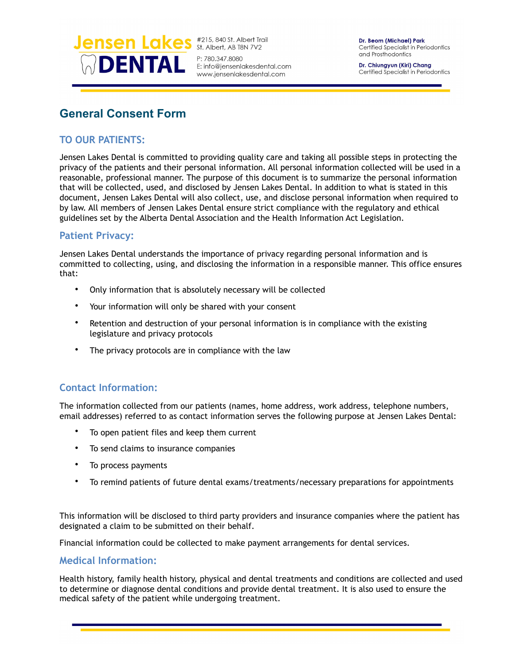

P: 780.347.8080 E: info@jensenlakesdental.com www.jensenlakesdental.com

Dr. Beom (Michael) Park Certified Specialist in Periodontics and Prosthodontics

Dr. Chiungyun (Kiri) Chang Certified Specialist in Periodontics

# **General Consent Form**

# **TO OUR PATIENTS:**

Jensen Lakes Dental is committed to providing quality care and taking all possible steps in protecting the privacy of the patients and their personal information. All personal information collected will be used in a reasonable, professional manner. The purpose of this document is to summarize the personal information that will be collected, used, and disclosed by Jensen Lakes Dental. In addition to what is stated in this document, Jensen Lakes Dental will also collect, use, and disclose personal information when required to by law. All members of Jensen Lakes Dental ensure strict compliance with the regulatory and ethical guidelines set by the Alberta Dental Association and the Health Information Act Legislation.

### **Patient Privacy:**

Jensen Lakes Dental understands the importance of privacy regarding personal information and is committed to collecting, using, and disclosing the information in a responsible manner. This office ensures that:

- Only information that is absolutely necessary will be collected
- Your information will only be shared with your consent
- Retention and destruction of your personal information is in compliance with the existing legislature and privacy protocols
- The privacy protocols are in compliance with the law

# **Contact Information:**

The information collected from our patients (names, home address, work address, telephone numbers, email addresses) referred to as contact information serves the following purpose at Jensen Lakes Dental:

- To open patient files and keep them current
- To send claims to insurance companies
- To process payments
- To remind patients of future dental exams/treatments/necessary preparations for appointments

This information will be disclosed to third party providers and insurance companies where the patient has designated a claim to be submitted on their behalf.

Financial information could be collected to make payment arrangements for dental services.

#### **Medical Information:**

Health history, family health history, physical and dental treatments and conditions are collected and used to determine or diagnose dental conditions and provide dental treatment. It is also used to ensure the medical safety of the patient while undergoing treatment.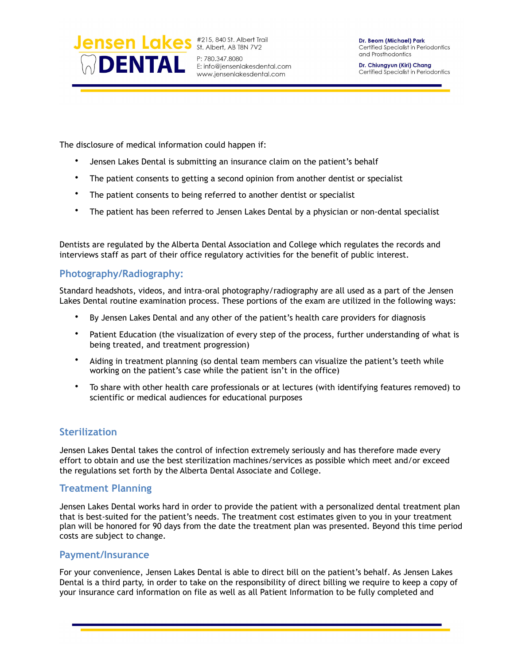

P: 780.347.8080 E: info@jensenlakesdental.com www.jensenlakesdental.com

Dr. Chiungyun (Kiri) Chang Certified Specialist in Periodontics

The disclosure of medical information could happen if:

- Jensen Lakes Dental is submitting an insurance claim on the patient's behalf
- The patient consents to getting a second opinion from another dentist or specialist
- The patient consents to being referred to another dentist or specialist
- The patient has been referred to Jensen Lakes Dental by a physician or non-dental specialist

Dentists are regulated by the Alberta Dental Association and College which regulates the records and interviews staff as part of their office regulatory activities for the benefit of public interest.

### **Photography/Radiography:**

Standard headshots, videos, and intra-oral photography/radiography are all used as a part of the Jensen Lakes Dental routine examination process. These portions of the exam are utilized in the following ways:

- By Jensen Lakes Dental and any other of the patient's health care providers for diagnosis
- Patient Education (the visualization of every step of the process, further understanding of what is being treated, and treatment progression)
- Aiding in treatment planning (so dental team members can visualize the patient's teeth while working on the patient's case while the patient isn't in the office)
- To share with other health care professionals or at lectures (with identifying features removed) to scientific or medical audiences for educational purposes

# **Sterilization**

Jensen Lakes Dental takes the control of infection extremely seriously and has therefore made every effort to obtain and use the best sterilization machines/services as possible which meet and/or exceed the regulations set forth by the Alberta Dental Associate and College.

### **Treatment Planning**

Jensen Lakes Dental works hard in order to provide the patient with a personalized dental treatment plan that is best-suited for the patient's needs. The treatment cost estimates given to you in your treatment plan will be honored for 90 days from the date the treatment plan was presented. Beyond this time period costs are subject to change.

#### **Payment/Insurance**

For your convenience, Jensen Lakes Dental is able to direct bill on the patient's behalf. As Jensen Lakes Dental is a third party, in order to take on the responsibility of direct billing we require to keep a copy of your insurance card information on file as well as all Patient Information to be fully completed and